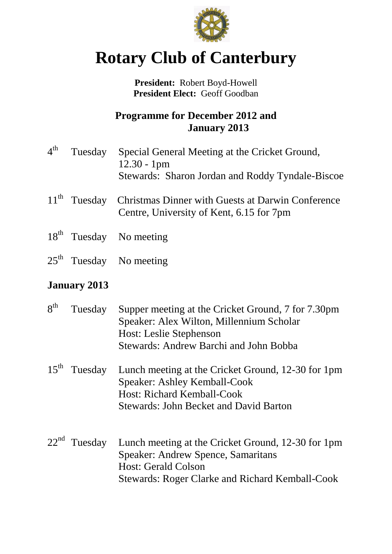

# **Rotary Club of Canterbury**

**President:** Robert Boyd-Howell **President Elect:** Geoff Goodban

## **Programme for December 2012 and January 2013**

| $4^{\rm th}$ | Tuesday | Special General Meeting at the Cricket Ground,<br>$12.30 - 1$ pm<br>Stewards: Sharon Jordan and Roddy Tyndale-Biscoe   |
|--------------|---------|------------------------------------------------------------------------------------------------------------------------|
|              |         | 11 <sup>th</sup> Tuesday Christmas Dinner with Guests at Darwin Conference<br>Centre, University of Kent, 6.15 for 7pm |

- 18<sup>th</sup> Tuesday No meeting
- $25<sup>th</sup>$  Tuesday No meeting

## **January 2013**

| 8 <sup>th</sup> | Tuesday        | Supper meeting at the Cricket Ground, 7 for 7.30pm<br>Speaker: Alex Wilton, Millennium Scholar<br>Host: Leslie Stephenson<br><b>Stewards: Andrew Barchi and John Bobba</b>              |
|-----------------|----------------|-----------------------------------------------------------------------------------------------------------------------------------------------------------------------------------------|
| $15^{th}$       | Tuesday        | Lunch meeting at the Cricket Ground, 12-30 for 1pm<br>Speaker: Ashley Kemball-Cook<br><b>Host: Richard Kemball-Cook</b><br><b>Stewards: John Becket and David Barton</b>                |
|                 | $22nd$ Tuesday | Lunch meeting at the Cricket Ground, 12-30 for 1pm<br><b>Speaker: Andrew Spence, Samaritans</b><br><b>Host: Gerald Colson</b><br><b>Stewards: Roger Clarke and Richard Kemball-Cook</b> |